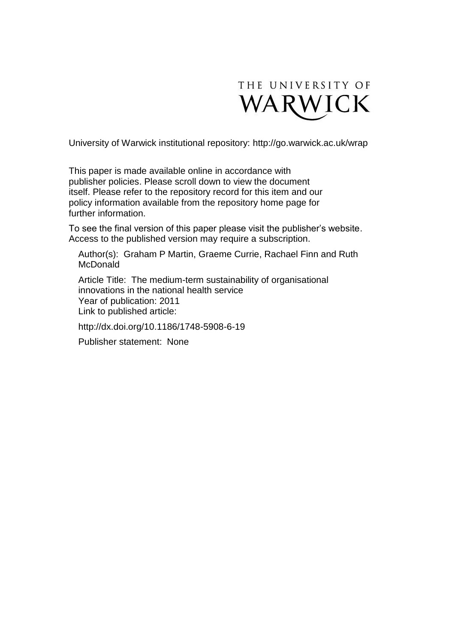

University of Warwick institutional repository:<http://go.warwick.ac.uk/wrap>

This paper is made available online in accordance with publisher policies. Please scroll down to view the document itself. Please refer to the repository record for this item and our policy information available from the repository home page for further information.

To see the final version of this paper please visit the publisher's website. Access to the published version may require a subscription.

Author(s): Graham P Martin, Graeme Currie, Rachael Finn and Ruth **McDonald** 

Article Title: The medium-term sustainability of organisational innovations in the national health service Year of publication: 2011 Link to published article:

http://dx.doi.org/10.1186/1748-5908-6-19

Publisher statement: None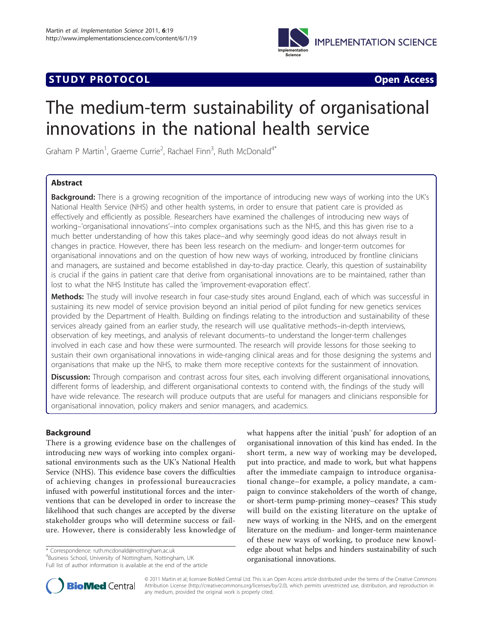# **STUDY PROTOCOL CONSUMING THE CONSUMING OPEN ACCESS**



# The medium-term sustainability of organisational innovations in the national health service

Graham P Martin<sup>1</sup>, Graeme Currie<sup>2</sup>, Rachael Finn<sup>3</sup>, Ruth McDonald<sup>4\*</sup>

# Abstract

**Background:** There is a growing recognition of the importance of introducing new ways of working into the UK's National Health Service (NHS) and other health systems, in order to ensure that patient care is provided as effectively and efficiently as possible. Researchers have examined the challenges of introducing new ways of working–'organisational innovations'–into complex organisations such as the NHS, and this has given rise to a much better understanding of how this takes place–and why seemingly good ideas do not always result in changes in practice. However, there has been less research on the medium- and longer-term outcomes for organisational innovations and on the question of how new ways of working, introduced by frontline clinicians and managers, are sustained and become established in day-to-day practice. Clearly, this question of sustainability is crucial if the gains in patient care that derive from organisational innovations are to be maintained, rather than lost to what the NHS Institute has called the 'improvement-evaporation effect'.

Methods: The study will involve research in four case-study sites around England, each of which was successful in sustaining its new model of service provision beyond an initial period of pilot funding for new genetics services provided by the Department of Health. Building on findings relating to the introduction and sustainability of these services already gained from an earlier study, the research will use qualitative methods–in-depth interviews, observation of key meetings, and analysis of relevant documents–to understand the longer-term challenges involved in each case and how these were surmounted. The research will provide lessons for those seeking to sustain their own organisational innovations in wide-ranging clinical areas and for those designing the systems and organisations that make up the NHS, to make them more receptive contexts for the sustainment of innovation.

Discussion: Through comparison and contrast across four sites, each involving different organisational innovations, different forms of leadership, and different organisational contexts to contend with, the findings of the study will have wide relevance. The research will produce outputs that are useful for managers and clinicians responsible for organisational innovation, policy makers and senior managers, and academics.

# **Background**

There is a growing evidence base on the challenges of introducing new ways of working into complex organisational environments such as the UK's National Health Service (NHS). This evidence base covers the difficulties of achieving changes in professional bureaucracies infused with powerful institutional forces and the interventions that can be developed in order to increase the likelihood that such changes are accepted by the diverse stakeholder groups who will determine success or failure. However, there is considerably less knowledge of

\* Correspondence: [ruth.mcdonald@nottingham.ac.uk](mailto:ruth.mcdonald@nottingham.ac.uk)

4 Business School, University of Nottingham, Nottingham, UK

Full list of author information is available at the end of the article

what happens after the initial 'push' for adoption of an organisational innovation of this kind has ended. In the short term, a new way of working may be developed, put into practice, and made to work, but what happens after the immediate campaign to introduce organisational change–for example, a policy mandate, a campaign to convince stakeholders of the worth of change, or short-term pump-priming money–ceases? This study will build on the existing literature on the uptake of new ways of working in the NHS, and on the emergent literature on the medium- and longer-term maintenance of these new ways of working, to produce new knowledge about what helps and hinders sustainability of such organisational innovations.



© 2011 Martin et al; licensee BioMed Central Ltd. This is an Open Access article distributed under the terms of the Creative Commons Attribution License [\(http://creativecommons.org/licenses/by/2.0](http://creativecommons.org/licenses/by/2.0)), which permits unrestricted use, distribution, and reproduction in any medium, provided the original work is properly cited.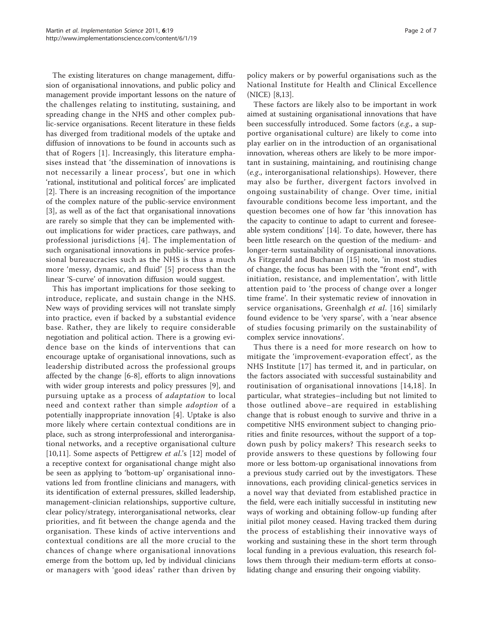The existing literatures on change management, diffusion of organisational innovations, and public policy and management provide important lessons on the nature of the challenges relating to instituting, sustaining, and spreading change in the NHS and other complex public-service organisations. Recent literature in these fields has diverged from traditional models of the uptake and diffusion of innovations to be found in accounts such as that of Rogers [[1\]](#page-6-0). Increasingly, this literature emphasises instead that 'the dissemination of innovations is not necessarily a linear process', but one in which 'rational, institutional and political forces' are implicated [[2\]](#page-6-0). There is an increasing recognition of the importance of the complex nature of the public-service environment [[3\]](#page-6-0), as well as of the fact that organisational innovations are rarely so simple that they can be implemented without implications for wider practices, care pathways, and professional jurisdictions [[4](#page-6-0)]. The implementation of such organisational innovations in public-service professional bureaucracies such as the NHS is thus a much more 'messy, dynamic, and fluid' [[5\]](#page-6-0) process than the linear 'S-curve' of innovation diffusion would suggest.

This has important implications for those seeking to introduce, replicate, and sustain change in the NHS. New ways of providing services will not translate simply into practice, even if backed by a substantial evidence base. Rather, they are likely to require considerable negotiation and political action. There is a growing evidence base on the kinds of interventions that can encourage uptake of organisational innovations, such as leadership distributed across the professional groups affected by the change [\[6](#page-6-0)-[8\]](#page-6-0), efforts to align innovations with wider group interests and policy pressures [[9\]](#page-6-0), and pursuing uptake as a process of adaptation to local need and context rather than simple adoption of a potentially inappropriate innovation [[4\]](#page-6-0). Uptake is also more likely where certain contextual conditions are in place, such as strong interprofessional and interorganisational networks, and a receptive organisational culture [[10,11\]](#page-6-0). Some aspects of Pettigrew *et al.*'s [[12\]](#page-6-0) model of a receptive context for organisational change might also be seen as applying to 'bottom-up' organisational innovations led from frontline clinicians and managers, with its identification of external pressures, skilled leadership, management-clinician relationships, supportive culture, clear policy/strategy, interorganisational networks, clear priorities, and fit between the change agenda and the organisation. These kinds of active interventions and contextual conditions are all the more crucial to the chances of change where organisational innovations emerge from the bottom up, led by individual clinicians or managers with 'good ideas' rather than driven by

policy makers or by powerful organisations such as the National Institute for Health and Clinical Excellence (NICE) [\[8,13\]](#page-6-0).

These factors are likely also to be important in work aimed at sustaining organisational innovations that have been successfully introduced. Some factors (e.g., a supportive organisational culture) are likely to come into play earlier on in the introduction of an organisational innovation, whereas others are likely to be more important in sustaining, maintaining, and routinising change (e.g., interorganisational relationships). However, there may also be further, divergent factors involved in ongoing sustainability of change. Over time, initial favourable conditions become less important, and the question becomes one of how far 'this innovation has the capacity to continue to adapt to current and foreseeable system conditions' [[14\]](#page-6-0). To date, however, there has been little research on the question of the medium- and longer-term sustainability of organisational innovations. As Fitzgerald and Buchanan [[15\]](#page-6-0) note, 'in most studies of change, the focus has been with the "front end", with initiation, resistance, and implementation', with little attention paid to 'the process of change over a longer time frame'. In their systematic review of innovation in service organisations, Greenhalgh *et al.* [\[16\]](#page-6-0) similarly found evidence to be 'very sparse', with a 'near absence of studies focusing primarily on the sustainability of complex service innovations'.

Thus there is a need for more research on how to mitigate the 'improvement-evaporation effect', as the NHS Institute [[17](#page-6-0)] has termed it, and in particular, on the factors associated with successful sustainability and routinisation of organisational innovations [[14,18](#page-6-0)]. In particular, what strategies–including but not limited to those outlined above–are required in establishing change that is robust enough to survive and thrive in a competitive NHS environment subject to changing priorities and finite resources, without the support of a topdown push by policy makers? This research seeks to provide answers to these questions by following four more or less bottom-up organisational innovations from a previous study carried out by the investigators. These innovations, each providing clinical-genetics services in a novel way that deviated from established practice in the field, were each initially successful in instituting new ways of working and obtaining follow-up funding after initial pilot money ceased. Having tracked them during the process of establishing their innovative ways of working and sustaining these in the short term through local funding in a previous evaluation, this research follows them through their medium-term efforts at consolidating change and ensuring their ongoing viability.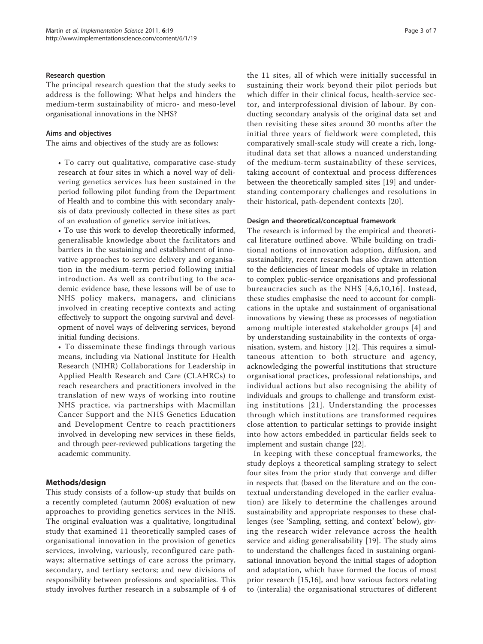### Research question

The principal research question that the study seeks to address is the following: What helps and hinders the medium-term sustainability of micro- and meso-level organisational innovations in the NHS?

#### Aims and objectives

The aims and objectives of the study are as follows:

• To carry out qualitative, comparative case-study research at four sites in which a novel way of delivering genetics services has been sustained in the period following pilot funding from the Department of Health and to combine this with secondary analysis of data previously collected in these sites as part of an evaluation of genetics service initiatives.

• To use this work to develop theoretically informed, generalisable knowledge about the facilitators and barriers in the sustaining and establishment of innovative approaches to service delivery and organisation in the medium-term period following initial introduction. As well as contributing to the academic evidence base, these lessons will be of use to NHS policy makers, managers, and clinicians involved in creating receptive contexts and acting effectively to support the ongoing survival and development of novel ways of delivering services, beyond initial funding decisions.

• To disseminate these findings through various means, including via National Institute for Health Research (NIHR) Collaborations for Leadership in Applied Health Research and Care (CLAHRCs) to reach researchers and practitioners involved in the translation of new ways of working into routine NHS practice, via partnerships with Macmillan Cancer Support and the NHS Genetics Education and Development Centre to reach practitioners involved in developing new services in these fields, and through peer-reviewed publications targeting the academic community.

# Methods/design

This study consists of a follow-up study that builds on a recently completed (autumn 2008) evaluation of new approaches to providing genetics services in the NHS. The original evaluation was a qualitative, longitudinal study that examined 11 theoretically sampled cases of organisational innovation in the provision of genetics services, involving, variously, reconfigured care pathways; alternative settings of care across the primary, secondary, and tertiary sectors; and new divisions of responsibility between professions and specialities. This study involves further research in a subsample of 4 of the 11 sites, all of which were initially successful in sustaining their work beyond their pilot periods but which differ in their clinical focus, health-service sector, and interprofessional division of labour. By conducting secondary analysis of the original data set and then revisiting these sites around 30 months after the initial three years of fieldwork were completed, this comparatively small-scale study will create a rich, longitudinal data set that allows a nuanced understanding of the medium-term sustainability of these services, taking account of contextual and process differences between the theoretically sampled sites [\[19](#page-6-0)] and understanding contemporary challenges and resolutions in their historical, path-dependent contexts [[20\]](#page-6-0).

#### Design and theoretical/conceptual framework

The research is informed by the empirical and theoretical literature outlined above. While building on traditional notions of innovation adoption, diffusion, and sustainability, recent research has also drawn attention to the deficiencies of linear models of uptake in relation to complex public-service organisations and professional bureaucracies such as the NHS [[4](#page-6-0),[6](#page-6-0),[10](#page-6-0),[16\]](#page-6-0). Instead, these studies emphasise the need to account for complications in the uptake and sustainment of organisational innovations by viewing these as processes of negotiation among multiple interested stakeholder groups [[4](#page-6-0)] and by understanding sustainability in the contexts of organisation, system, and history [[12](#page-6-0)]. This requires a simultaneous attention to both structure and agency, acknowledging the powerful institutions that structure organisational practices, professional relationships, and individual actions but also recognising the ability of individuals and groups to challenge and transform existing institutions [[21\]](#page-7-0). Understanding the processes through which institutions are transformed requires close attention to particular settings to provide insight into how actors embedded in particular fields seek to implement and sustain change [\[22](#page-7-0)].

In keeping with these conceptual frameworks, the study deploys a theoretical sampling strategy to select four sites from the prior study that converge and differ in respects that (based on the literature and on the contextual understanding developed in the earlier evaluation) are likely to determine the challenges around sustainability and appropriate responses to these challenges (see 'Sampling, setting, and context' below), giving the research wider relevance across the health service and aiding generalisability [\[19](#page-6-0)]. The study aims to understand the challenges faced in sustaining organisational innovation beyond the initial stages of adoption and adaptation, which have formed the focus of most prior research [[15,16\]](#page-6-0), and how various factors relating to (interalia) the organisational structures of different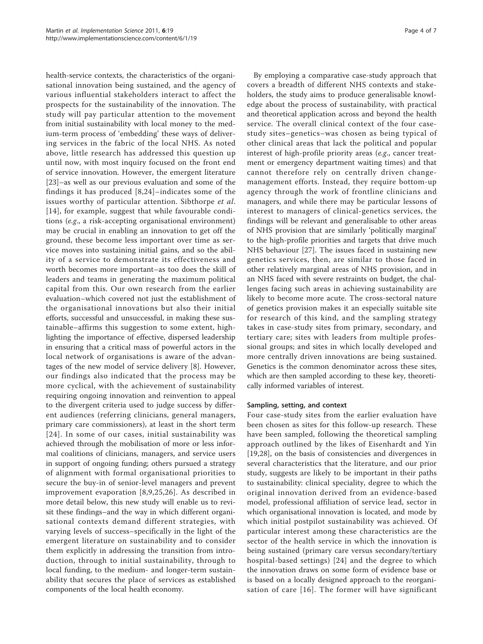health-service contexts, the characteristics of the organisational innovation being sustained, and the agency of various influential stakeholders interact to affect the prospects for the sustainability of the innovation. The study will pay particular attention to the movement from initial sustainability with local money to the medium-term process of 'embedding' these ways of delivering services in the fabric of the local NHS. As noted above, little research has addressed this question up until now, with most inquiry focused on the front end of service innovation. However, the emergent literature [[23\]](#page-7-0)–as well as our previous evaluation and some of the findings it has produced [[8](#page-6-0),[24\]](#page-7-0)–indicates some of the issues worthy of particular attention. Sibthorpe et al. [[14](#page-6-0)], for example, suggest that while favourable conditions (e.g., a risk-accepting organisational environment) may be crucial in enabling an innovation to get off the ground, these become less important over time as service moves into sustaining initial gains, and so the ability of a service to demonstrate its effectiveness and worth becomes more important–as too does the skill of leaders and teams in generating the maximum political capital from this. Our own research from the earlier evaluation–which covered not just the establishment of the organisational innovations but also their initial efforts, successful and unsuccessful, in making these sustainable–affirms this suggestion to some extent, highlighting the importance of effective, dispersed leadership in ensuring that a critical mass of powerful actors in the local network of organisations is aware of the advantages of the new model of service delivery [\[8](#page-6-0)]. However, our findings also indicated that the process may be more cyclical, with the achievement of sustainability requiring ongoing innovation and reinvention to appeal to the divergent criteria used to judge success by different audiences (referring clinicians, general managers, primary care commissioners), at least in the short term [[24\]](#page-7-0). In some of our cases, initial sustainability was achieved through the mobilisation of more or less informal coalitions of clinicians, managers, and service users in support of ongoing funding; others pursued a strategy of alignment with formal organisational priorities to secure the buy-in of senior-level managers and prevent improvement evaporation [\[8,9](#page-6-0),[25,26\]](#page-7-0). As described in more detail below, this new study will enable us to revisit these findings–and the way in which different organisational contexts demand different strategies, with varying levels of success–specifically in the light of the emergent literature on sustainability and to consider them explicitly in addressing the transition from introduction, through to initial sustainability, through to local funding, to the medium- and longer-term sustainability that secures the place of services as established components of the local health economy.

By employing a comparative case-study approach that covers a breadth of different NHS contexts and stakeholders, the study aims to produce generalisable knowledge about the process of sustainability, with practical and theoretical application across and beyond the health service. The overall clinical context of the four casestudy sites–genetics–was chosen as being typical of other clinical areas that lack the political and popular interest of high-profile priority areas (e.g., cancer treatment or emergency department waiting times) and that cannot therefore rely on centrally driven changemanagement efforts. Instead, they require bottom-up agency through the work of frontline clinicians and managers, and while there may be particular lessons of interest to managers of clinical-genetics services, the findings will be relevant and generalisable to other areas of NHS provision that are similarly 'politically marginal' to the high-profile priorities and targets that drive much NHS behaviour [\[27](#page-7-0)]. The issues faced in sustaining new genetics services, then, are similar to those faced in other relatively marginal areas of NHS provision, and in an NHS faced with severe restraints on budget, the challenges facing such areas in achieving sustainability are likely to become more acute. The cross-sectoral nature of genetics provision makes it an especially suitable site for research of this kind, and the sampling strategy takes in case-study sites from primary, secondary, and tertiary care; sites with leaders from multiple professional groups; and sites in which locally developed and more centrally driven innovations are being sustained. Genetics is the common denominator across these sites, which are then sampled according to these key, theoretically informed variables of interest.

### Sampling, setting, and context

Four case-study sites from the earlier evaluation have been chosen as sites for this follow-up research. These have been sampled, following the theoretical sampling approach outlined by the likes of Eisenhardt and Yin [[19,](#page-6-0)[28\]](#page-7-0), on the basis of consistencies and divergences in several characteristics that the literature, and our prior study, suggests are likely to be important in their paths to sustainability: clinical speciality, degree to which the original innovation derived from an evidence-based model, professional affiliation of service lead, sector in which organisational innovation is located, and mode by which initial postpilot sustainability was achieved. Of particular interest among these characteristics are the sector of the health service in which the innovation is being sustained (primary care versus secondary/tertiary hospital-based settings) [\[24\]](#page-7-0) and the degree to which the innovation draws on some form of evidence base or is based on a locally designed approach to the reorganisation of care [\[16](#page-6-0)]. The former will have significant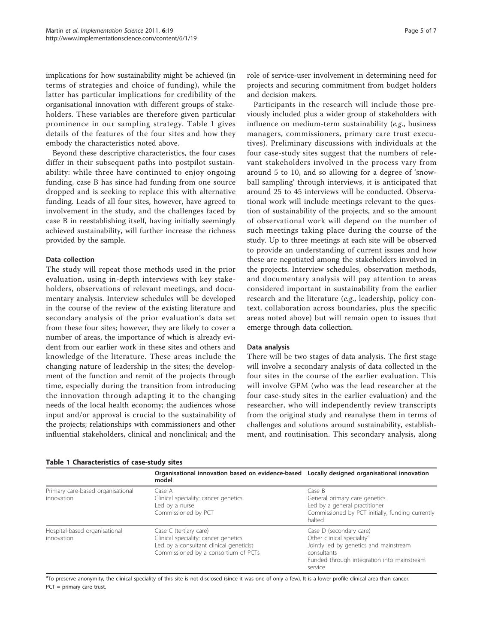implications for how sustainability might be achieved (in terms of strategies and choice of funding), while the latter has particular implications for credibility of the organisational innovation with different groups of stakeholders. These variables are therefore given particular prominence in our sampling strategy. Table 1 gives details of the features of the four sites and how they embody the characteristics noted above.

Beyond these descriptive characteristics, the four cases differ in their subsequent paths into postpilot sustainability: while three have continued to enjoy ongoing funding, case B has since had funding from one source dropped and is seeking to replace this with alternative funding. Leads of all four sites, however, have agreed to involvement in the study, and the challenges faced by case B in reestablishing itself, having initially seemingly achieved sustainability, will further increase the richness provided by the sample.

# Data collection

The study will repeat those methods used in the prior evaluation, using in-depth interviews with key stakeholders, observations of relevant meetings, and documentary analysis. Interview schedules will be developed in the course of the review of the existing literature and secondary analysis of the prior evaluation's data set from these four sites; however, they are likely to cover a number of areas, the importance of which is already evident from our earlier work in these sites and others and knowledge of the literature. These areas include the changing nature of leadership in the sites; the development of the function and remit of the projects through time, especially during the transition from introducing the innovation through adapting it to the changing needs of the local health economy; the audiences whose input and/or approval is crucial to the sustainability of the projects; relationships with commissioners and other influential stakeholders, clinical and nonclinical; and the

|  | Table 1 Characteristics of case-study sites |  |  |  |
|--|---------------------------------------------|--|--|--|
|--|---------------------------------------------|--|--|--|

role of service-user involvement in determining need for projects and securing commitment from budget holders and decision makers.

Participants in the research will include those previously included plus a wider group of stakeholders with influence on medium-term sustainability (e.g., business managers, commissioners, primary care trust executives). Preliminary discussions with individuals at the four case-study sites suggest that the numbers of relevant stakeholders involved in the process vary from around 5 to 10, and so allowing for a degree of 'snowball sampling' through interviews, it is anticipated that around 25 to 45 interviews will be conducted. Observational work will include meetings relevant to the question of sustainability of the projects, and so the amount of observational work will depend on the number of such meetings taking place during the course of the study. Up to three meetings at each site will be observed to provide an understanding of current issues and how these are negotiated among the stakeholders involved in the projects. Interview schedules, observation methods, and documentary analysis will pay attention to areas considered important in sustainability from the earlier research and the literature (e.g., leadership, policy context, collaboration across boundaries, plus the specific areas noted above) but will remain open to issues that emerge through data collection.

## Data analysis

There will be two stages of data analysis. The first stage will involve a secondary analysis of data collected in the four sites in the course of the earlier evaluation. This will involve GPM (who was the lead researcher at the four case-study sites in the earlier evaluation) and the researcher, who will independently review transcripts from the original study and reanalyse them in terms of challenges and solutions around sustainability, establishment, and routinisation. This secondary analysis, along

|                                                 | Organisational innovation based on evidence-based Locally designed organisational innovation<br>model                                             |                                                                                                                                                                                     |
|-------------------------------------------------|---------------------------------------------------------------------------------------------------------------------------------------------------|-------------------------------------------------------------------------------------------------------------------------------------------------------------------------------------|
| Primary care-based organisational<br>innovation | Case A<br>Clinical speciality: cancer genetics<br>Led by a nurse<br>Commissioned by PCT                                                           | Case B<br>General primary care genetics<br>Led by a general practitioner<br>Commissioned by PCT initially, funding currently<br>halted                                              |
| Hospital-based organisational<br>innovation     | Case C (tertiary care)<br>Clinical speciality: cancer genetics<br>Led by a consultant clinical geneticist<br>Commissioned by a consortium of PCTs | Case D (secondary care)<br>Other clinical speciality <sup>a</sup><br>Jointly led by genetics and mainstream<br>consultants<br>Funded through integration into mainstream<br>service |

<sup>a</sup>To preserve anonymity, the clinical speciality of this site is not disclosed (since it was one of only a few). It is a lower-profile clinical area than cancer. PCT = primary care trust.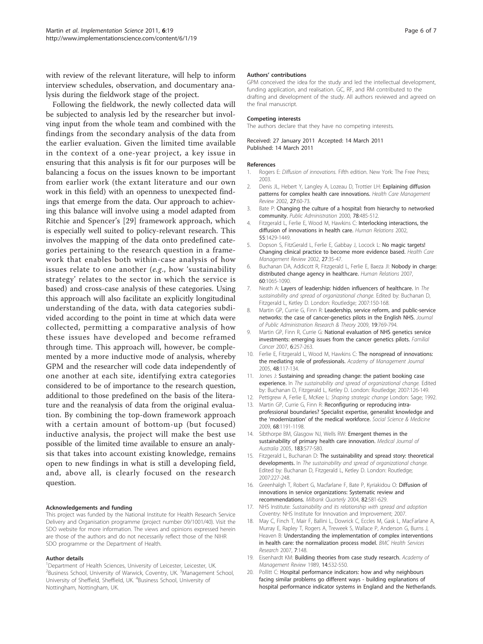<span id="page-6-0"></span>with review of the relevant literature, will help to inform interview schedules, observation, and documentary analysis during the fieldwork stage of the project.

Following the fieldwork, the newly collected data will be subjected to analysis led by the researcher but involving input from the whole team and combined with the findings from the secondary analysis of the data from the earlier evaluation. Given the limited time available in the context of a one-year project, a key issue in ensuring that this analysis is fit for our purposes will be balancing a focus on the issues known to be important from earlier work (the extant literature and our own work in this field) with an openness to unexpected findings that emerge from the data. Our approach to achieving this balance will involve using a model adapted from Ritchie and Spencer's [[29](#page-7-0)] framework approach, which is especially well suited to policy-relevant research. This involves the mapping of the data onto predefined categories pertaining to the research question in a framework that enables both within-case analysis of how issues relate to one another (e.g., how 'sustainability strategy' relates to the sector in which the service is based) and cross-case analysis of these categories. Using this approach will also facilitate an explicitly longitudinal understanding of the data, with data categories subdivided according to the point in time at which data were collected, permitting a comparative analysis of how these issues have developed and become reframed through time. This approach will, however, be complemented by a more inductive mode of analysis, whereby GPM and the researcher will code data independently of one another at each site, identifying extra categories considered to be of importance to the research question, additional to those predefined on the basis of the literature and the reanalysis of data from the original evaluation. By combining the top-down framework approach with a certain amount of bottom-up (but focused) inductive analysis, the project will make the best use possible of the limited time available to ensure an analysis that takes into account existing knowledge, remains open to new findings in what is still a developing field, and, above all, is clearly focused on the research question.

#### Acknowledgements and funding

This project was funded by the National Institute for Health Research Service Delivery and Organisation programme (project number 09/1001/40). Visit the SDO website for more information. The views and opinions expressed herein are those of the authors and do not necessarily reflect those of the NIHR SDO programme or the Department of Health.

#### Author details

<sup>1</sup>Department of Health Sciences, University of Leicester, Leicester, UK. <sup>2</sup>Business School, University of Warwick, Coventry, UK. <sup>3</sup>Management School, University of Sheffield, Sheffield, UK. <sup>4</sup>Business School, University of Nottingham, Nottingham, UK.

#### Authors' contributions

GPM conceived the idea for the study and led the intellectual development, funding application, and realisation. GC, RF, and RM contributed to the drafting and development of the study. All authors reviewed and agreed on the final manuscript.

#### Competing interests

The authors declare that they have no competing interests.

Received: 27 January 2011 Accepted: 14 March 2011 Published: 14 March 2011

#### References

- 1. Rogers E: Diffusion of innovations. Fifth edition. New York: The Free Press; 2003.
- 2. Denis JL, Hebert Y, Langley A, Lozeau D, Trottier LH: [Explaining diffusion](http://www.ncbi.nlm.nih.gov/pubmed/12146784?dopt=Abstract) [patterns for complex health care innovations.](http://www.ncbi.nlm.nih.gov/pubmed/12146784?dopt=Abstract) Health Care Management Review 2002, 27:60-73.
- 3. Bate P: Changing the culture of a hospital: from hierarchy to networked community. Public Administration 2000, 78:485-512.
- 4. Fitzgerald L, Ferlie E, Wood M, Hawkins C: Interlocking interactions, the diffusion of innovations in health care. Human Relations 2002, 55:1429-1449.
- 5. Dopson S, FitzGerald L, Ferlie E, Gabbay J, Locock L: [No magic targets!](http://www.ncbi.nlm.nih.gov/pubmed/12146782?dopt=Abstract) [Changing clinical practice to become more evidence based.](http://www.ncbi.nlm.nih.gov/pubmed/12146782?dopt=Abstract) Health Care Management Review 2002, 27:35-47.
- 6. Buchanan DA, Addicott R, Fitzgerald L, Ferlie E, Baeza JI: Nobody in charge: distributed change agency in healthcare. Human Relations 2007, 60:1065-1090.
- 7. Neath A: Layers of leadership: hidden influencers of healthcare. In The sustainability and spread of organizational change. Edited by: Buchanan D, Fitzgerald L, Ketley D. London: Routledge; 2007:150-168.
- 8. Martin GP, Currie G, Finn R: Leadership, service reform, and public-service networks: the case of cancer-genetics pilots in the English NHS. Journal of Public Administration Research & Theory 2009, 19:769-794.
- 9. Martin GP, Finn R, Currie G: [National evaluation of NHS genetics service](http://www.ncbi.nlm.nih.gov/pubmed/17520352?dopt=Abstract) [investments: emerging issues from the cancer genetics pilots.](http://www.ncbi.nlm.nih.gov/pubmed/17520352?dopt=Abstract) Familial Cancer 2007, 6:257-263.
- 10. Ferlie E, Fitzgerald L, Wood M, Hawkins C: The nonspread of innovations: the mediating role of professionals. Academy of Management Journal 2005, 48:117-134.
- 11. Jones J: Sustaining and spreading change: the patient booking case experience. In The sustainability and spread of organizational change. Edited by: Buchanan D, Fitzgerald L, Ketley D. London: Routledge; 2007:126-149.
- 12. Pettigrew A, Ferlie E, McKee L: Shaping strategic change London: Sage; 1992. 13. Martin GP, Currie G, Finn R: Reconfiguring or reproducing intraprofessional boundaries? Specialist expertise, generalist knowledge and the 'modernization' of the medical workforce. Social Science & Medicine 2009, 68:1191-1198.
- 14. Sibthorpe BM, Glasgow NJ, Wells RW: [Emergent themes in the](http://www.ncbi.nlm.nih.gov/pubmed/16296958?dopt=Abstract) [sustainability of primary health care innovation.](http://www.ncbi.nlm.nih.gov/pubmed/16296958?dopt=Abstract) Medical Journal of Australia 2005, 183:S77-S80.
- 15. Fitzgerald L, Buchanan D: The sustainability and spread story: theoretical developments. In The sustainability and spread of organizational change. Edited by: Buchanan D, Fitzgerald L, Ketley D. London: Routledge; 2007:227-248.
- 16. Greenhalgh T, Robert G, Macfarlane F, Bate P, Kyriakidou O: [Diffusion of](http://www.ncbi.nlm.nih.gov/pubmed/15595944?dopt=Abstract) [innovations in service organizations: Systematic review and](http://www.ncbi.nlm.nih.gov/pubmed/15595944?dopt=Abstract) [recommendations.](http://www.ncbi.nlm.nih.gov/pubmed/15595944?dopt=Abstract) Milbank Quarterly 2004, 82:581-629.
- 17. NHS Institute: Sustainability and its relationship with spread and adoption Coventry: NHS Institute for Innovation and Improvement; 2007.
- 18. May C, Finch T, Mair F, Ballini L, Dowrick C, Eccles M, Gask L, MacFarlane A, Murray E, Rapley T, Rogers A, Treweek S, Wallace P, Anderson G, Burns J, Heaven B: [Understanding the implementation of complex interventions](http://www.ncbi.nlm.nih.gov/pubmed/17880693?dopt=Abstract) [in health care: the normalization process model.](http://www.ncbi.nlm.nih.gov/pubmed/17880693?dopt=Abstract) BMC Health Services Research 2007, 7:148.
- 19. Eisenhardt KM: Building theories from case study research. Academy of Management Review 1989, 14:532-550.
- 20. Pollitt C: Hospital performance indicators: how and why neighbours facing similar problems go different ways - building explanations of hospital performance indicator systems in England and the Netherlands.